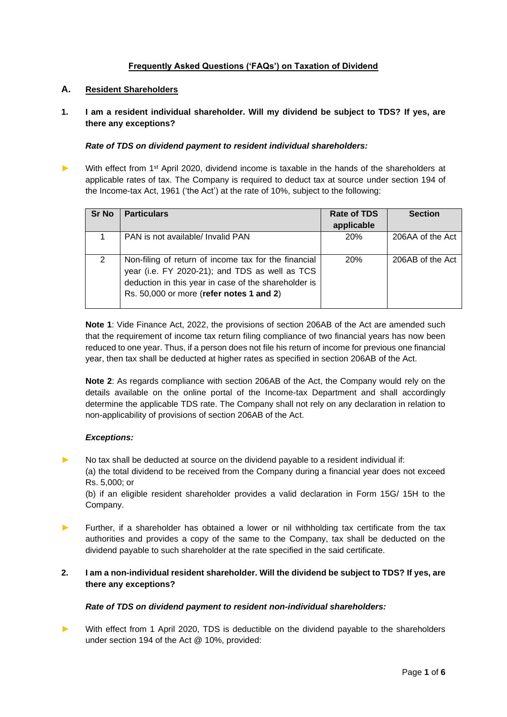## **Frequently Asked Questions ('FAQs') on Taxation of Dividend**

### **A. Resident Shareholders**

**1. I am a resident individual shareholder. Will my dividend be subject to TDS? If yes, are there any exceptions?**

#### *Rate of TDS on dividend payment to resident individual shareholders:*

► With effect from 1<sup>st</sup> April 2020, dividend income is taxable in the hands of the shareholders at applicable rates of tax. The Company is required to deduct tax at source under section 194 of the Income-tax Act, 1961 ('the Act') at the rate of 10%, subject to the following:

| <b>Sr No</b> | <b>Particulars</b>                                                                                                                                                                                         | Rate of TDS<br>applicable | <b>Section</b>   |
|--------------|------------------------------------------------------------------------------------------------------------------------------------------------------------------------------------------------------------|---------------------------|------------------|
|              | PAN is not available/ Invalid PAN                                                                                                                                                                          | <b>20%</b>                | 206AA of the Act |
| 2            | Non-filing of return of income tax for the financial<br>year (i.e. FY 2020-21); and TDS as well as TCS<br>deduction in this year in case of the shareholder is<br>Rs. 50,000 or more (refer notes 1 and 2) | <b>20%</b>                | 206AB of the Act |

**Note 1**: Vide Finance Act, 2022, the provisions of section 206AB of the Act are amended such that the requirement of income tax return filing compliance of two financial years has now been reduced to one year. Thus, if a person does not file his return of income for previous one financial year, then tax shall be deducted at higher rates as specified in section 206AB of the Act.

**Note 2**: As regards compliance with section 206AB of the Act, the Company would rely on the details available on the online portal of the Income-tax Department and shall accordingly determine the applicable TDS rate. The Company shall not rely on any declaration in relation to non-applicability of provisions of section 206AB of the Act.

### *Exceptions:*

► No tax shall be deducted at source on the dividend payable to a resident individual if:

(a) the total dividend to be received from the Company during a financial year does not exceed Rs. 5,000; or

(b) if an eligible resident shareholder provides a valid declaration in Form 15G/ 15H to the Company.

► Further, if a shareholder has obtained a lower or nil withholding tax certificate from the tax authorities and provides a copy of the same to the Company, tax shall be deducted on the dividend payable to such shareholder at the rate specified in the said certificate.

## **2. I am a non-individual resident shareholder. Will the dividend be subject to TDS? If yes, are there any exceptions?**

### *Rate of TDS on dividend payment to resident non-individual shareholders:*

With effect from 1 April 2020, TDS is deductible on the dividend payable to the shareholders under section 194 of the Act @ 10%, provided: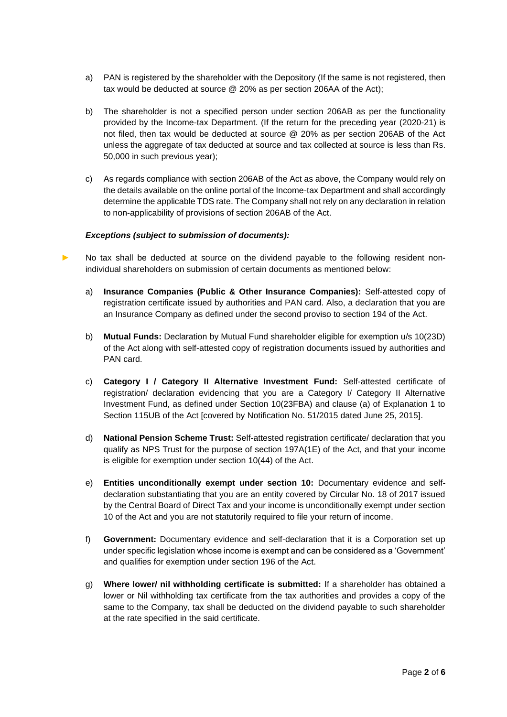- a) PAN is registered by the shareholder with the Depository (If the same is not registered, then tax would be deducted at source @ 20% as per section 206AA of the Act);
- b) The shareholder is not a specified person under section 206AB as per the functionality provided by the Income-tax Department. (If the return for the preceding year (2020-21) is not filed, then tax would be deducted at source @ 20% as per section 206AB of the Act unless the aggregate of tax deducted at source and tax collected at source is less than Rs. 50,000 in such previous year);
- c) As regards compliance with section 206AB of the Act as above, the Company would rely on the details available on the online portal of the Income-tax Department and shall accordingly determine the applicable TDS rate. The Company shall not rely on any declaration in relation to non-applicability of provisions of section 206AB of the Act.

### *Exceptions (subject to submission of documents):*

- No tax shall be deducted at source on the dividend payable to the following resident nonindividual shareholders on submission of certain documents as mentioned below:
	- a) **Insurance Companies (Public & Other Insurance Companies):** Self-attested copy of registration certificate issued by authorities and PAN card. Also, a declaration that you are an Insurance Company as defined under the second proviso to section 194 of the Act.
	- b) **Mutual Funds:** Declaration by Mutual Fund shareholder eligible for exemption u/s 10(23D) of the Act along with self-attested copy of registration documents issued by authorities and PAN card.
	- c) **Category I / Category II Alternative Investment Fund:** Self-attested certificate of registration/ declaration evidencing that you are a Category I/ Category II Alternative Investment Fund, as defined under Section 10(23FBA) and clause (a) of Explanation 1 to Section 115UB of the Act [covered by Notification No. 51/2015 dated June 25, 2015].
	- d) **National Pension Scheme Trust:** Self-attested registration certificate/ declaration that you qualify as NPS Trust for the purpose of section 197A(1E) of the Act, and that your income is eligible for exemption under section 10(44) of the Act.
	- e) **Entities unconditionally exempt under section 10:** Documentary evidence and selfdeclaration substantiating that you are an entity covered by Circular No. 18 of 2017 issued by the Central Board of Direct Tax and your income is unconditionally exempt under section 10 of the Act and you are not statutorily required to file your return of income.
	- f) **Government:** Documentary evidence and self-declaration that it is a Corporation set up under specific legislation whose income is exempt and can be considered as a 'Government' and qualifies for exemption under section 196 of the Act.
	- g) **Where lower/ nil withholding certificate is submitted:** If a shareholder has obtained a lower or Nil withholding tax certificate from the tax authorities and provides a copy of the same to the Company, tax shall be deducted on the dividend payable to such shareholder at the rate specified in the said certificate.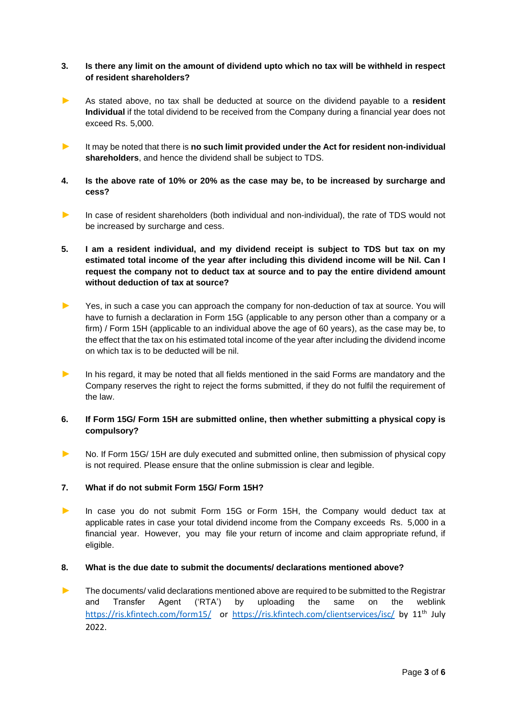### **3. Is there any limit on the amount of dividend upto which no tax will be withheld in respect of resident shareholders?**

- ► As stated above, no tax shall be deducted at source on the dividend payable to a **resident Individual** if the total dividend to be received from the Company during a financial year does not exceed Rs. 5,000.
- ► It may be noted that there is **no such limit provided under the Act for resident non-individual shareholders**, and hence the dividend shall be subject to TDS.
- **4. Is the above rate of 10% or 20% as the case may be, to be increased by surcharge and cess?**
- ► In case of resident shareholders (both individual and non-individual), the rate of TDS would not be increased by surcharge and cess.
- **5. I am a resident individual, and my dividend receipt is subject to TDS but tax on my estimated total income of the year after including this dividend income will be Nil. Can I request the company not to deduct tax at source and to pay the entire dividend amount without deduction of tax at source?**
- ► Yes, in such a case you can approach the company for non-deduction of tax at source. You will have to furnish a declaration in Form 15G (applicable to any person other than a company or a firm) / Form 15H (applicable to an individual above the age of 60 years), as the case may be, to the effect that the tax on his estimated total income of the year after including the dividend income on which tax is to be deducted will be nil.
- ► In his regard, it may be noted that all fields mentioned in the said Forms are mandatory and the Company reserves the right to reject the forms submitted, if they do not fulfil the requirement of the law.

### **6. If Form 15G/ Form 15H are submitted online, then whether submitting a physical copy is compulsory?**

► No. If Form 15G/ 15H are duly executed and submitted online, then submission of physical copy is not required. Please ensure that the online submission is clear and legible.

### **7. What if do not submit Form 15G/ Form 15H?**

► In case you do not submit Form 15G or Form 15H, the Company would deduct tax at applicable rates in case your total dividend income from the Company exceeds Rs. 5,000 in a financial year. However, you may file your return of income and claim appropriate refund, if eligible.

# **8. What is the due date to submit the documents/ declarations mentioned above?**

► The documents/ valid declarations mentioned above are required to be submitted to the Registrar and Transfer Agent ('RTA') by uploading the same on the weblink <https://ris.kfintech.com/form15/> or <https://ris.kfintech.com/clientservices/isc/> by 11<sup>th</sup> July 2022.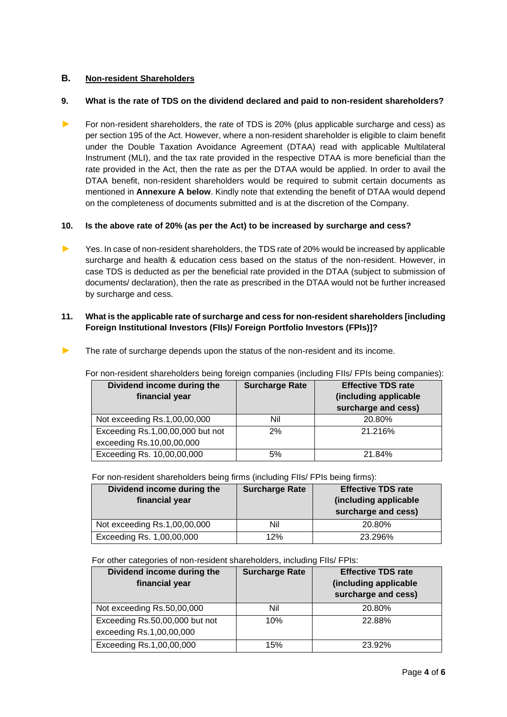# **B. Non-resident Shareholders**

## **9. What is the rate of TDS on the dividend declared and paid to non-resident shareholders?**

► For non-resident shareholders, the rate of TDS is 20% (plus applicable surcharge and cess) as per section 195 of the Act. However, where a non-resident shareholder is eligible to claim benefit under the Double Taxation Avoidance Agreement (DTAA) read with applicable Multilateral Instrument (MLI), and the tax rate provided in the respective DTAA is more beneficial than the rate provided in the Act, then the rate as per the DTAA would be applied. In order to avail the DTAA benefit, non-resident shareholders would be required to submit certain documents as mentioned in **Annexure A below**. Kindly note that extending the benefit of DTAA would depend on the completeness of documents submitted and is at the discretion of the Company.

## **10. Is the above rate of 20% (as per the Act) to be increased by surcharge and cess?**

► Yes. In case of non-resident shareholders, the TDS rate of 20% would be increased by applicable surcharge and health & education cess based on the status of the non-resident. However, in case TDS is deducted as per the beneficial rate provided in the DTAA (subject to submission of documents/ declaration), then the rate as prescribed in the DTAA would not be further increased by surcharge and cess.

## **11. What is the applicable rate of surcharge and cess for non-resident shareholders [including Foreign Institutional Investors (FIIs)/ Foreign Portfolio Investors (FPIs)]?**

| The rate of surcharge depends upon the status of the non-resident and its income. |
|-----------------------------------------------------------------------------------|
|                                                                                   |

For non-resident shareholders being foreign companies (including FIIs/ FPIs being companies):

| Dividend income during the       | <b>Surcharge Rate</b> | <b>Effective TDS rate</b>                    |  |
|----------------------------------|-----------------------|----------------------------------------------|--|
| financial year                   |                       | (including applicable<br>surcharge and cess) |  |
| Not exceeding Rs.1,00,00,000     | Nil                   | 20.80%                                       |  |
| Exceeding Rs.1,00,00,000 but not | 2%                    | 21.216%                                      |  |
| exceeding Rs.10,00,00,000        |                       |                                              |  |
| Exceeding Rs. 10,00,00,000       | 5%                    | 21.84%                                       |  |

For non-resident shareholders being firms (including FIIs/ FPIs being firms):

| Dividend income during the<br>financial year | <b>Surcharge Rate</b> | <b>Effective TDS rate</b><br>(including applicable<br>surcharge and cess) |
|----------------------------------------------|-----------------------|---------------------------------------------------------------------------|
| Not exceeding Rs.1,00,00,000                 | Nil                   | 20.80%                                                                    |
| Exceeding Rs. 1,00,00,000                    | 12%                   | 23.296%                                                                   |

For other categories of non-resident shareholders, including FIIs/ FPIs:

| Dividend income during the<br>financial year               | <b>Surcharge Rate</b> | <b>Effective TDS rate</b><br>(including applicable<br>surcharge and cess) |
|------------------------------------------------------------|-----------------------|---------------------------------------------------------------------------|
| Not exceeding Rs.50,00,000                                 | Nil                   | 20.80%                                                                    |
| Exceeding Rs.50,00,000 but not<br>exceeding Rs.1,00,00,000 | 10%                   | 22.88%                                                                    |
| Exceeding Rs.1,00,00,000                                   | 15%                   | 23.92%                                                                    |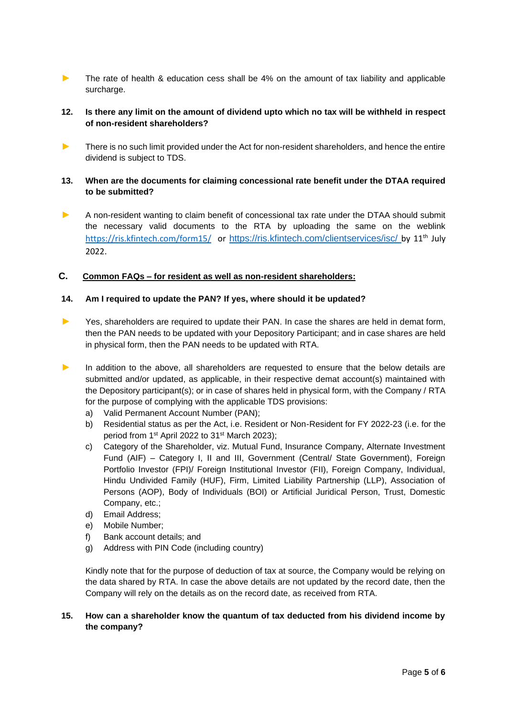► The rate of health & education cess shall be 4% on the amount of tax liability and applicable surcharge.

## **12. Is there any limit on the amount of dividend upto which no tax will be withheld in respect of non-resident shareholders?**

There is no such limit provided under the Act for non-resident shareholders, and hence the entire dividend is subject to TDS.

### **13. When are the documents for claiming concessional rate benefit under the DTAA required to be submitted?**

► A non-resident wanting to claim benefit of concessional tax rate under the DTAA should submit the necessary valid documents to the RTA by uploading the same on the weblink <https://ris.kfintech.com/form15/> or <https://ris.kfintech.com/clientservices/isc/> by 11<sup>th</sup> July 2022.

### **C. Common FAQs – for resident as well as non-resident shareholders:**

#### **14. Am I required to update the PAN? If yes, where should it be updated?**

- ► Yes, shareholders are required to update their PAN. In case the shares are held in demat form, then the PAN needs to be updated with your Depository Participant; and in case shares are held in physical form, then the PAN needs to be updated with RTA.
- ▶ In addition to the above, all shareholders are requested to ensure that the below details are submitted and/or updated, as applicable, in their respective demat account(s) maintained with the Depository participant(s); or in case of shares held in physical form, with the Company / RTA for the purpose of complying with the applicable TDS provisions:
	- a) Valid Permanent Account Number (PAN);
	- b) Residential status as per the Act, i.e. Resident or Non-Resident for FY 2022-23 (i.e. for the period from 1<sup>st</sup> April 2022 to 31<sup>st</sup> March 2023);
	- c) Category of the Shareholder, viz. Mutual Fund, Insurance Company, Alternate Investment Fund (AIF) – Category I, II and III, Government (Central/ State Government), Foreign Portfolio Investor (FPI)/ Foreign Institutional Investor (FII), Foreign Company, Individual, Hindu Undivided Family (HUF), Firm, Limited Liability Partnership (LLP), Association of Persons (AOP), Body of Individuals (BOI) or Artificial Juridical Person, Trust, Domestic Company, etc.;
	- d) Email Address;
	- e) Mobile Number;
	- f) Bank account details; and
	- g) Address with PIN Code (including country)

Kindly note that for the purpose of deduction of tax at source, the Company would be relying on the data shared by RTA. In case the above details are not updated by the record date, then the Company will rely on the details as on the record date, as received from RTA.

### **15. How can a shareholder know the quantum of tax deducted from his dividend income by the company?**